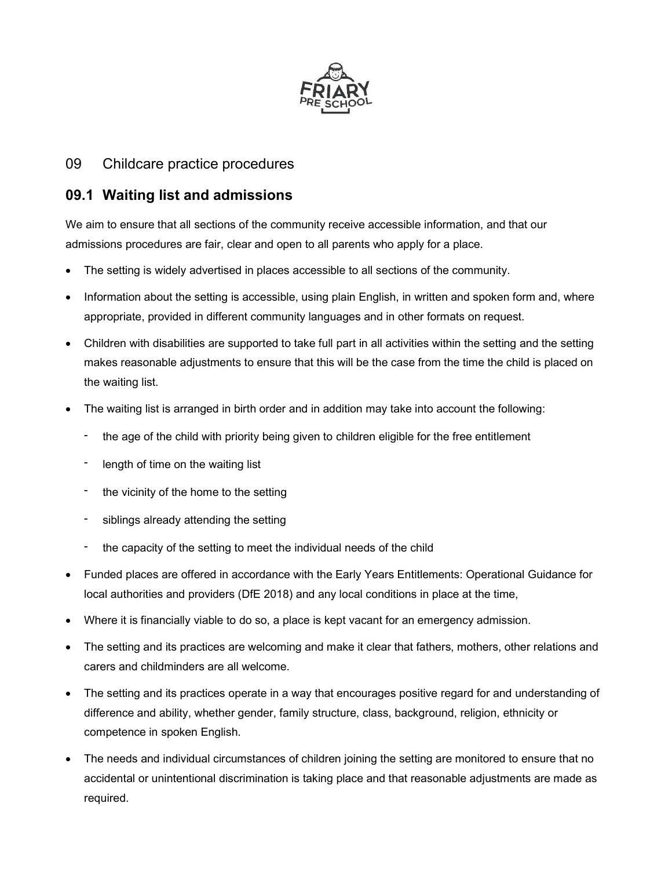

## 09 Childcare practice procedures

# 09.1 Waiting list and admissions

We aim to ensure that all sections of the community receive accessible information, and that our admissions procedures are fair, clear and open to all parents who apply for a place.

- The setting is widely advertised in places accessible to all sections of the community.
- Information about the setting is accessible, using plain English, in written and spoken form and, where appropriate, provided in different community languages and in other formats on request.
- Children with disabilities are supported to take full part in all activities within the setting and the setting makes reasonable adjustments to ensure that this will be the case from the time the child is placed on the waiting list.
- The waiting list is arranged in birth order and in addition may take into account the following:
	- the age of the child with priority being given to children eligible for the free entitlement
	- length of time on the waiting list
	- the vicinity of the home to the setting
	- siblings already attending the setting
	- the capacity of the setting to meet the individual needs of the child
- Funded places are offered in accordance with the Early Years Entitlements: Operational Guidance for local authorities and providers (DfE 2018) and any local conditions in place at the time,
- Where it is financially viable to do so, a place is kept vacant for an emergency admission.
- The setting and its practices are welcoming and make it clear that fathers, mothers, other relations and carers and childminders are all welcome.
- The setting and its practices operate in a way that encourages positive regard for and understanding of difference and ability, whether gender, family structure, class, background, religion, ethnicity or competence in spoken English.
- The needs and individual circumstances of children joining the setting are monitored to ensure that no accidental or unintentional discrimination is taking place and that reasonable adjustments are made as required.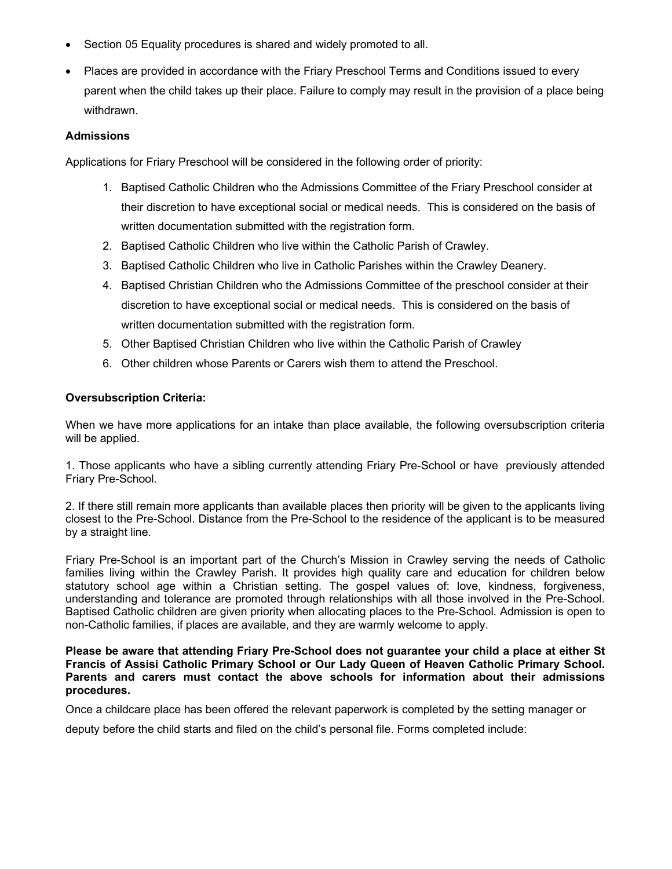- Section 05 Equality procedures is shared and widely promoted to all.
- Places are provided in accordance with the Friary Preschool Terms and Conditions issued to every parent when the child takes up their place. Failure to comply may result in the provision of a place being withdrawn.

#### Admissions

Applications for Friary Preschool will be considered in the following order of priority:

- 1. Baptised Catholic Children who the Admissions Committee of the Friary Preschool consider at their discretion to have exceptional social or medical needs. This is considered on the basis of written documentation submitted with the registration form.
- 2. Baptised Catholic Children who live within the Catholic Parish of Crawley.
- 3. Baptised Catholic Children who live in Catholic Parishes within the Crawley Deanery.
- 4. Baptised Christian Children who the Admissions Committee of the preschool consider at their discretion to have exceptional social or medical needs. This is considered on the basis of written documentation submitted with the registration form.
- 5. Other Baptised Christian Children who live within the Catholic Parish of Crawley
- 6. Other children whose Parents or Carers wish them to attend the Preschool.

#### Oversubscription Criteria:

When we have more applications for an intake than place available, the following oversubscription criteria will be applied.

1. Those applicants who have a sibling currently attending Friary Pre-School or have previously attended Friary Pre-School.

2. If there still remain more applicants than available places then priority will be given to the applicants living closest to the Pre-School. Distance from the Pre-School to the residence of the applicant is to be measured by a straight line.

Friary Pre-School is an important part of the Church's Mission in Crawley serving the needs of Catholic families living within the Crawley Parish. It provides high quality care and education for children below statutory school age within a Christian setting. The gospel values of: love, kindness, forgiveness, understanding and tolerance are promoted through relationships with all those involved in the Pre-School. Baptised Catholic children are given priority when allocating places to the Pre-School. Admission is open to non-Catholic families, if places are available, and they are warmly welcome to apply.

Please be aware that attending Friary Pre-School does not guarantee your child a place at either St Francis of Assisi Catholic Primary School or Our Lady Queen of Heaven Catholic Primary School. Parents and carers must contact the above schools for information about their admissions procedures.

Once a childcare place has been offered the relevant paperwork is completed by the setting manager or

deputy before the child starts and filed on the child's personal file. Forms completed include: